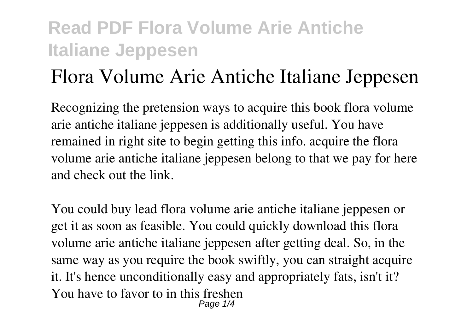# **Flora Volume Arie Antiche Italiane Jeppesen**

Recognizing the pretension ways to acquire this book **flora volume arie antiche italiane jeppesen** is additionally useful. You have remained in right site to begin getting this info. acquire the flora volume arie antiche italiane jeppesen belong to that we pay for here and check out the link.

You could buy lead flora volume arie antiche italiane jeppesen or get it as soon as feasible. You could quickly download this flora volume arie antiche italiane jeppesen after getting deal. So, in the same way as you require the book swiftly, you can straight acquire it. It's hence unconditionally easy and appropriately fats, isn't it? You have to favor to in this freshen Page 1/4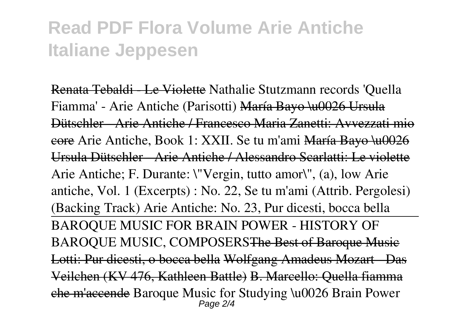Renata Tebaldi - Le Violette Nathalie Stutzmann records 'Quella Fiamma' - Arie Antiche (Parisotti) María Bayo \u0026 Ursula Dütschler - Arie Antiche / Francesco Maria Zanetti: Avvezzati mio core *Arie Antiche, Book 1: XXII. Se tu m'ami* María Bayo \u0026 Ursula Dütschler - Arie Antiche / Alessandro Scarlatti: Le v *Arie Antiche; F. Durante: \"Vergin, tutto amor\", (a), low Arie antiche, Vol. 1 (Excerpts) : No. 22, Se tu m'ami (Attrib. Pergolesi) (Backing Track) Arie Antiche: No. 23, Pur dicesti, bocca bella* BAROQUE MUSIC FOR BRAIN POWER - HISTORY OF BAROQUE MUSIC, COMPOSERSThe Best of Baroque Music Lotti: Pur dicesti, o bocca bella Wolfgang Amadeus Mozart - Das Veilchen (KV 476, Kathleen Battle) B. Marcello: Quella fiamma che m'accende Baroque Music for Studying \u0026 Brain Power Page  $2/4$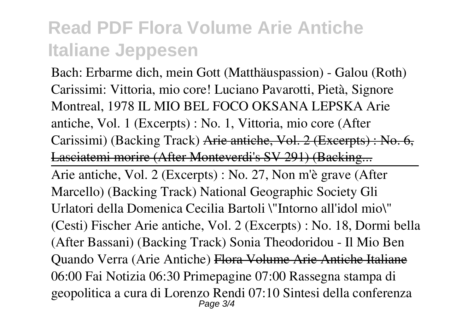Bach: Erbarme dich, mein Gott (Matthäuspassion) - Galou (Roth) **Carissimi: Vittoria, mio core! Luciano Pavarotti, Pietà, Signore Montreal, 1978** IL MIO BEL FOCO OKSANA LEPSKA *Arie antiche, Vol. 1 (Excerpts) : No. 1, Vittoria, mio core (After Carissimi) (Backing Track)* Arie antiche, Vol. 2 (Excerpts) : No. 6, Lasciatemi morire (After Monteverdi's SV 291) (Backing.

Arie antiche, Vol. 2 (Excerpts) : No. 27, Non m'è grave (After Marcello) (Backing Track) National Geographic Society Gli Urlatori della Domenica *Cecilia Bartoli \"Intorno all'idol mio\" (Cesti) Fischer* Arie antiche, Vol. 2 (Excerpts) : No. 18, Dormi bella (After Bassani) (Backing Track) Sonia Theodoridou - Il Mio Ben Quando Verra (Arie Antiche) Flora Volume Arie Antiche Italiane 06:00 Fai Notizia 06:30 Primepagine 07:00 Rassegna stampa di geopolitica a cura di Lorenzo Rendi 07:10 Sintesi della conferenza Page 3/4